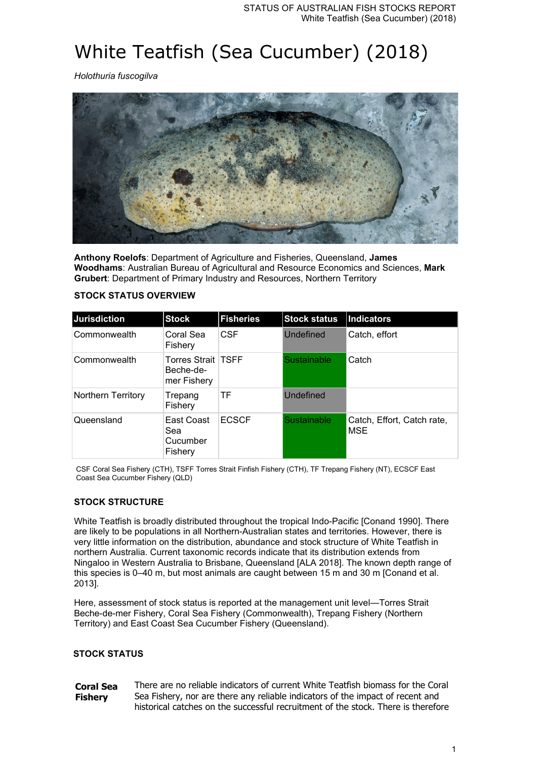# White Teatfish (Sea Cucumber) (2018)

*Holothuria fuscogilva*



**Anthony Roelofs**: Department of Agriculture and Fisheries, Queensland, **James Woodhams**: Australian Bureau of Agricultural and Resource Economics and Sciences, **Mark Grubert**: Department of Primary Industry and Resources, Northern Territory

## **STOCK STATUS OVERVIEW**

| Jurisdiction              | <b>Stock</b>                                   | <b>Fisheries</b> | <b>Stock status</b> | Indicators                        |
|---------------------------|------------------------------------------------|------------------|---------------------|-----------------------------------|
| Commonwealth              | Coral Sea<br>Fishery                           | <b>CSF</b>       | Undefined           | Catch, effort                     |
| Commonwealth              | Torres Strait TSFF<br>Beche-de-<br>mer Fishery |                  | Sustainable         | Catch                             |
| <b>Northern Territory</b> | Trepang<br>Fishery                             | TF               | Undefined           |                                   |
| Queensland                | East Coast<br>Sea<br>Cucumber<br>Fishery       | <b>ECSCF</b>     | Sustainable         | Catch, Effort, Catch rate,<br>MSE |

CSF Coral Sea Fishery (CTH), TSFF Torres Strait Finfish Fishery (CTH), TF Trepang Fishery (NT), ECSCF East Coast Sea Cucumber Fishery (QLD)

## **STOCK STRUCTURE**

White Teatfish is broadly distributed throughout the tropical Indo-Pacific [Conand 1990]. There are likely to be populations in all Northern-Australian states and territories. However, there is very little information on the distribution, abundance and stock structure of White Teatfish in northern Australia. Current taxonomic records indicate that its distribution extends from Ningaloo in Western Australia to Brisbane, Queensland [ALA 2018]. The known depth range of this species is 0–40 m, but most animals are caught between 15 m and 30 m [Conand et al. 2013].

Here, assessment of stock status is reported at the management unit level—Torres Strait Beche-de-mer Fishery, Coral Sea Fishery (Commonwealth), Trepang Fishery (Northern Territory) and East Coast Sea Cucumber Fishery (Queensland).

## **STOCK STATUS**

**Coral Sea Fishery** There are no reliable indicators of current White Teatfish biomass for the Coral Sea Fishery, nor are there any reliable indicators of the impact of recent and historical catches on the successful recruitment of the stock. There is therefore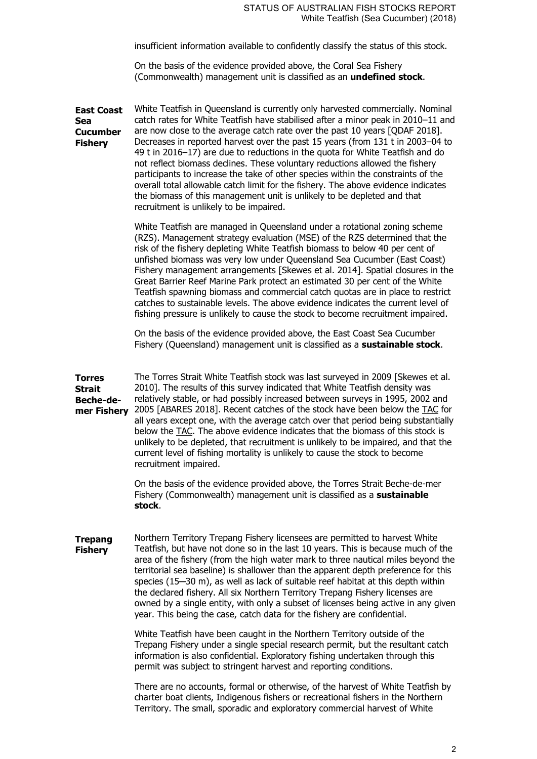insufficient information available to confidently classify the status of this stock.

On the basis of the evidence provided above, the Coral Sea Fishery (Commonwealth) management unit is classified as an **undefined stock**.

**East Coast**  White Teatfish in Queensland is currently only harvested commercially. Nominal **Sea Cucumber Fishery** catch rates for White Teatfish have stabilised after a minor peak in 2010–11 and are now close to the average catch rate over the past 10 years [QDAF 2018]. Decreases in reported harvest over the past 15 years (from 131 t in 2003–04 to 49 t in 2016–17) are due to reductions in the quota for White Teatfish and do not reflect biomass declines. These voluntary reductions allowed the fishery participants to increase the take of other species within the constraints of the overall total allowable catch limit for the fishery. The above evidence indicates the biomass of this management unit is unlikely to be depleted and that recruitment is unlikely to be impaired. White Teatfish are managed in Queensland under a rotational zoning scheme (RZS). Management strategy evaluation (MSE) of the RZS determined that the risk of the fishery depleting White Teatfish biomass to below 40 per cent of unfished biomass was very low under Queensland Sea Cucumber (East Coast) Fishery management arrangements [Skewes et al. 2014]. Spatial closures in the Great Barrier Reef Marine Park protect an estimated 30 per cent of the White Teatfish spawning biomass and commercial catch quotas are in place to restrict catches to sustainable levels. The above evidence indicates the current level of fishing pressure is unlikely to cause the stock to become recruitment impaired. On the basis of the evidence provided above, the East Coast Sea Cucumber Fishery (Queensland) management unit is classified as a **sustainable stock**. **Torres Strait Beche-demer Fishery** 2005 [ABARES 2018]. Recent catches of the stock have been below the TAC for The Torres Strait White Teatfish stock was last surveyed in 2009 [Skewes et al. 2010]. The results of this survey indicated that White Teatfish density was relatively stable, or had possibly increased between surveys in 1995, 2002 and all years except one, with the average catch over that period being substantially below the TAC. The above evidence indicates that the biomass of this stock is unlikely to be depleted, that recruitment is unlikely to be impaired, and that the current level of fishing mortality is unlikely to cause the stock to become recruitment impaired. On the basis of the evidence provided above, the Torres Strait Beche-de-mer Fishery (Commonwealth) management unit is classified as a **sustainable stock**. **Trepang Fishery** Northern Territory Trepang Fishery licensees are permitted to harvest White Teatfish, but have not done so in the last 10 years. This is because much of the area of the fishery (from the high water mark to three nautical miles beyond the territorial sea baseline) is shallower than the apparent depth preference for this species (15-30 m), as well as lack of suitable reef habitat at this depth within the declared fishery. All six Northern Territory Trepang Fishery licenses are owned by a single entity, with only a subset of licenses being active in any given year. This being the case, catch data for the fishery are confidential. White Teatfish have been caught in the Northern Territory outside of the Trepang Fishery under a single special research permit, but the resultant catch information is also confidential. Exploratory fishing undertaken through this

> There are no accounts, formal or otherwise, of the harvest of White Teatfish by charter boat clients, Indigenous fishers or recreational fishers in the Northern Territory. The small, sporadic and exploratory commercial harvest of White

permit was subject to stringent harvest and reporting conditions.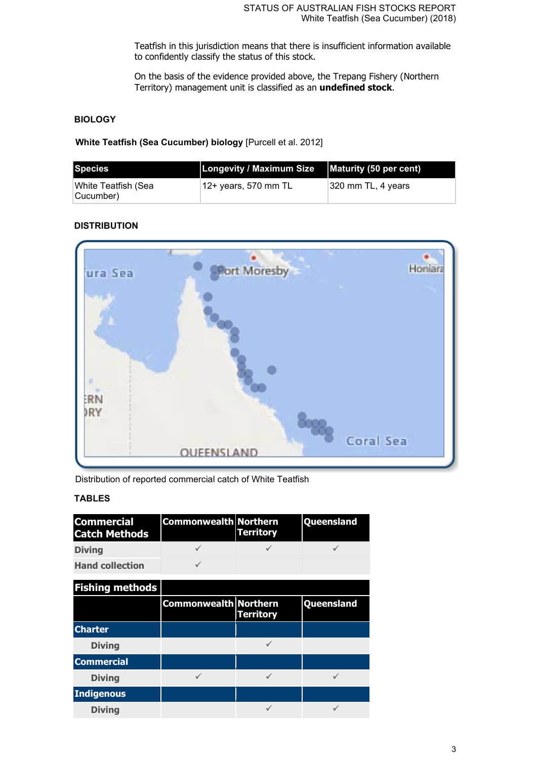Teatfish in this jurisdiction means that there is insufficient information available to confidently classify the status of this stock.

On the basis of the evidence provided above, the Trepang Fishery (Northern Territory) management unit is classified as an **undefined stock**.

# **BIOLOGY**

**White Teatfish (Sea Cucumber) biology** [Purcell et al. 2012]

| Species                           | Longevity / Maximum Size   Maturity (50 per cent) |                     |
|-----------------------------------|---------------------------------------------------|---------------------|
| ∣White Teatfish (Sea<br>Cucumber) | $^{\shortmid}$ 12+ years, 570 mm TL               | ∣320 mm TL, 4 years |

# **DISTRIBUTION**



Distribution of reported commercial catch of White Teatfish

# **TABLES**

| <b>Commercial</b><br><b>Catch Methods</b> | <b>Commonwealth Northern</b> | <b>Territory</b> | Queensland |
|-------------------------------------------|------------------------------|------------------|------------|
| <b>Diving</b>                             |                              |                  |            |
| <b>Hand collection</b>                    |                              |                  |            |
| <b>Fishing methods</b>                    |                              |                  |            |
|                                           | <b>Commonwealth Northern</b> | <b>Territory</b> | Queensland |
| <b>Charter</b>                            |                              |                  |            |
| <b>Diving</b>                             |                              |                  |            |
| <b>Commercial</b>                         |                              |                  |            |
| <b>Diving</b>                             |                              |                  | ✓          |
| <b>Indigenous</b>                         |                              |                  |            |
| <b>Diving</b>                             |                              |                  |            |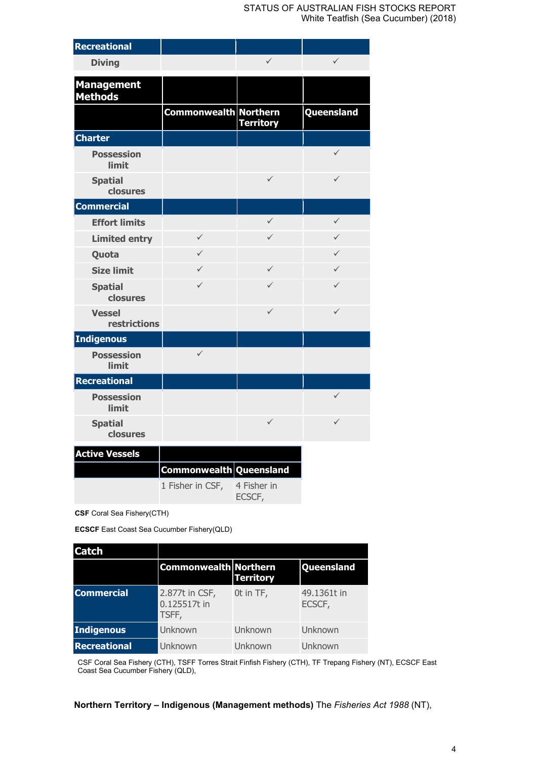| Recreational                        |                              |                       |              |
|-------------------------------------|------------------------------|-----------------------|--------------|
| <b>Diving</b>                       |                              | $\checkmark$          | $\checkmark$ |
| <b>Management</b><br><b>Methods</b> |                              |                       |              |
|                                     | <b>Commonwealth Northern</b> | <b>Territory</b>      | Queensland   |
| <b>Charter</b>                      |                              |                       |              |
| <b>Possession</b><br>limit          |                              |                       | $\checkmark$ |
| <b>Spatial</b><br>closures          |                              | $\checkmark$          | $\checkmark$ |
| <b>Commercial</b>                   |                              |                       |              |
| <b>Effort limits</b>                |                              | $\checkmark$          | $\checkmark$ |
| <b>Limited entry</b>                | ✓                            | ✓                     | $\checkmark$ |
| Quota                               | ✓                            |                       | $\checkmark$ |
| <b>Size limit</b>                   | ✓                            | $\checkmark$          | $\checkmark$ |
| <b>Spatial</b><br>closures          | $\checkmark$                 | $\checkmark$          | $\checkmark$ |
| <b>Vessel</b><br>restrictions       |                              | $\checkmark$          | $\checkmark$ |
| <b>Indigenous</b>                   |                              |                       |              |
| <b>Possession</b><br>limit          | $\checkmark$                 |                       |              |
| <b>Recreational</b>                 |                              |                       |              |
| <b>Possession</b><br>limit          |                              |                       | $\checkmark$ |
| <b>Spatial</b><br>closures          |                              | $\checkmark$          | $\checkmark$ |
| <b>Active Vessels</b>               | Commonwealth Queensland      |                       |              |
|                                     | 1 Fisher in CSF,             | 4 Fisher in<br>ECSCF, |              |

**CSF** Coral Sea Fishery(CTH)

**ECSCF** East Coast Sea Cucumber Fishery(QLD)

| <b>Catch</b>        |                                         |                  |                       |
|---------------------|-----------------------------------------|------------------|-----------------------|
|                     | <b>Commonwealth Northern</b>            | <b>Territory</b> | Queensland            |
| <b>Commercial</b>   | 2.877t in CSF,<br>0.125517t in<br>TSFF, | Ot in TF,        | 49.1361t in<br>ECSCF, |
| Indigenous          | Unknown                                 | Unknown          | Unknown               |
| <b>Recreational</b> | Unknown                                 | Unknown          | Unknown               |

CSF Coral Sea Fishery (CTH), TSFF Torres Strait Finfish Fishery (CTH), TF Trepang Fishery (NT), ECSCF East Coast Sea Cucumber Fishery (QLD),

**Northern Territory – Indigenous (Management methods)** The *Fisheries Act 1988* (NT),